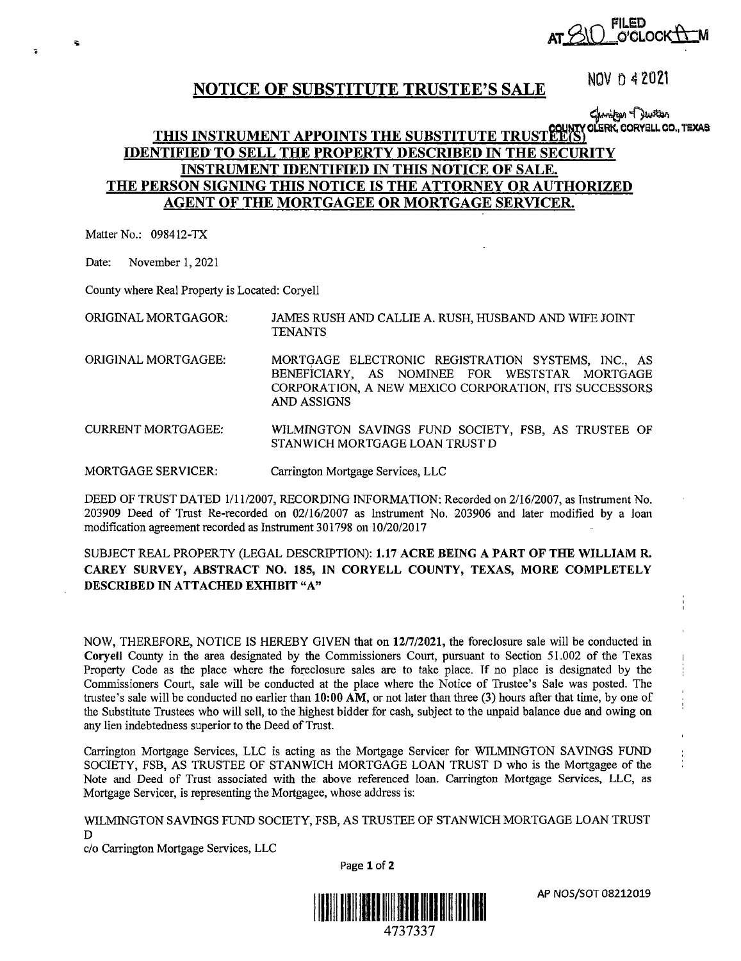~Q FILED .~1 **AT d~-- <sup>01</sup>** C'CLOCK

# **NOTICE OF SUBSTITUTE TRUSTEE'S SALE NOV 0 4 2021**

## مثلاتهم بهرستهايت مع المسرح<br>THIS INSTRUMENT APPOINTS THE SUBSTITUTE TRUST<sup>2</sup>CUNTY CLERK, CORYELL CO., TEXAS **IDENTIFIED' TO SELL THE PROPERTY DESCRIBED** IN **THE SECURITY INSTRUMENT IDENTIFIED** IN **THIS NOTICE OF SALE. THE PERSON SIGNING THIS NOTICE IS THE ATTORNEY OR AUTHORIZED AGENT OF THE MORTGAGEE OR MORTGAGE SERVICER.**

Matter No.: 098412-TX

•

É.

Date: November 1, 2021

County where Real Property is Located: Coryell

ORIGINAL MORTGAGOR: JAMES RUSH AND CALLIE A. RUSH, HUSBAND AND WIFE JOINT TENANTS

- ORIGINAL MORTGAGEE: MORTGAGE ELECTRONIC REGISTRATION SYSTEMS, INC., AS BENEFICIARY, AS NOMINEE FOR WESTSTAR MORTGAGE CORPORATION, A NEW MEXICO CORPORATION, ITS SUCCESSORS AND ASSIGNS
- CURRENT MORTGAGEE: WILMINGTON SAVINGS FUND SOCIETY, FSB, AS TRUSTEE OF STANWJCH MORTGAGE LOAN TRUST D

MORTGAGE SERVICER: Carrington Mortgage Services, LLC

DEED OF TRUST DATED 1/11/2007, RECORDING INFORMATION: Recorded on 2/16/2007, as Instrument No. 203909 Deed of Trust Re-recorded on 02/16/2007 as Instrument No. 203906 and later modified by a Joan modification agreement recorded as Instrument 301798 on 10/20/2017

#### SUBJECT REAL PROPERTY (LEGAL DESCRIPTION): **1.17 ACRE BEING A PART OF THE WILLIAM R. CAREY SURVEY, ABSTRACT NO. 185, IN CORYELL COUNTY, TEXAS, MORE COMPLETELY DESCRIBED IN ATTACHED EXHIBIT "A"**

NOW, THEREFORE, NOTICE IS HEREBY GIVEN that on 12/7/2021, the foreclosure sale will be conducted in **Coryell** County in the area designated by the Commissioners Court, pursuant to Section 51.002 of the Texas Property Code as the place where the foreclosure sales are to take place. If no place is designated by the Commissioners Court, sale will be conducted at the place where the Notice of Trustee's Sale was posted. The trustee's sale will be conducted no earlier than **10:00 AM,** or not later than three (3) hours after that time, by one of the Substitute Trustees who will sell, to the highest bidder for cash, subject to the unpaid balance due and owing on any lien indebtedness superior to the Deed of Trust.

Carrington Mortgage Services, LLC is acting as the Mortgage Servicer for WILMINGTON SAVINGS FUND SOCIETY, FSB, AS TRUSTEE OF STANWICH MORTGAGE LOAN TRUST D who is the Mortgagee of the Note and Deed of Trust associated with the above referenced loan. Carrington Mortgage Services, LLC, as Mortgage Servicer, is representing the Mortgagee, whose address is:

WILMINGTON SAVINGS FUND SOCIETY, FSB, AS TRUSTEE OF STANWICH MORTGAGE LOAN TRUST D

Page **1** of **2** 

c/o Carrington Mortgage Services, LLC



AP NOS/SOT 08212019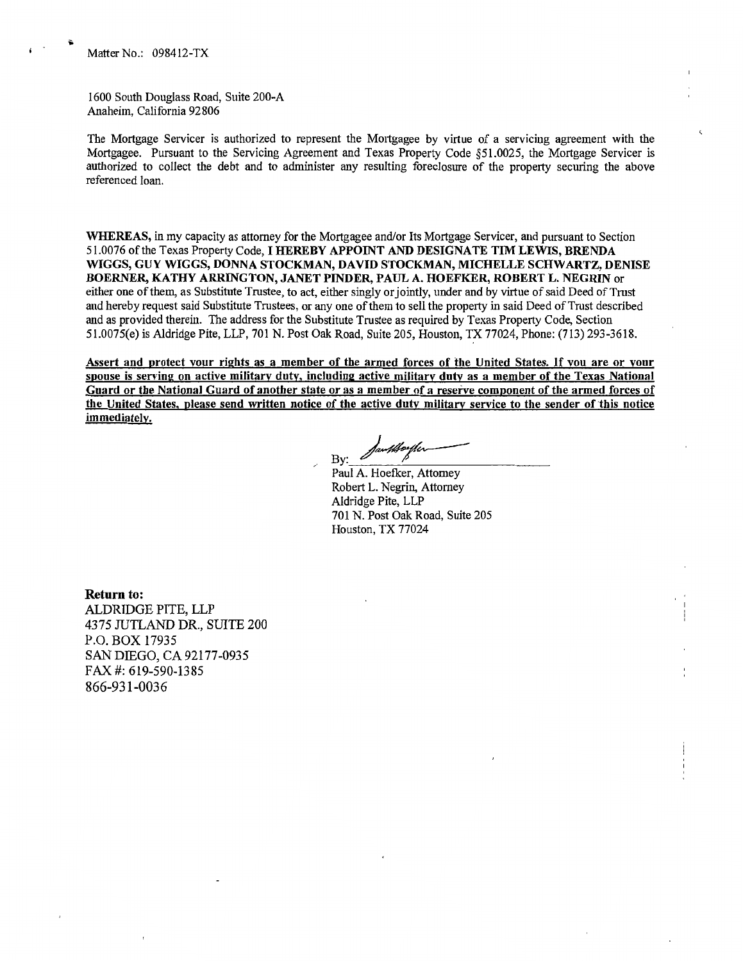1600 South Douglass Road, Suite 200-A Anaheim, California 92806

The Mortgage Servicer is authorized to represent the Mortgagee by virtue of a servicing agreement with the Mortgagee. Pursuant to the Servicing Agreement and Texas Property Code §51.0025, the Mortgage Servicer is authorized to collect the debt and to administer any resulting foreclosure of the property securing the above referenced loan.

WHEREAS, in my capacity as attorney for the Mortgagee and/or Its Mortgage Servicer, and pursuant to Section 51.0076 of the Texas Property Code, I **HEREBY APPOINT AND DESIGNATE TIM LEWIS, BRENDA WIGGS, GUY WIGGS, DONNA STOCKMAN, DAVID STOCKMAN, MICHELLE SCHWARTZ, DENISE BOERNER, KATHY ARRINGTON, JANET PINDER, PAUL A. HOEFKER, ROBERT L. NEGRIN** or either one of them, as Substitute Trustee, to act, either singly or jointly, under and by virtue of said Deed of Tmst and hereby request said Substitute Trustees, or any one of them to sell the property in said Deed of Trust described and as provided therein. The address for the Substitute Trustee as required by Texas Property Code, Section 51.0075(e) is Aldridge Pite, LLP, 701 N. Post Oak Road, Suite 205, Houston, TX 77024, Phone: (713) 293-3618.

**Assert and protect vour rights as a member of the armed forces of the United States.** If **vou are or your spouse is serving on active military duty. including active military duty as a member of the Texas National Guard or the National Guard of another state or as a member of a reserve component of the armed forces** of **the United States. please send written notice of the active duty military service to the sender of this notice immediately.** 

By: Santhouter

Paul A. Hoefker, Attorney Robert L. Negrin, Attorney Aldridge Pite, LLP 701 N. Post Oak Road, Suite 205 Houston, TX 77024

**Return to:**  ALDRIDGE PITE, LLP 4375 JUTLAND DR., SUITE 200 P.O. BOX 17935 SAN DIEGO, CA 92177-0935 FAX#: 619-590-13 85 866-931-0036